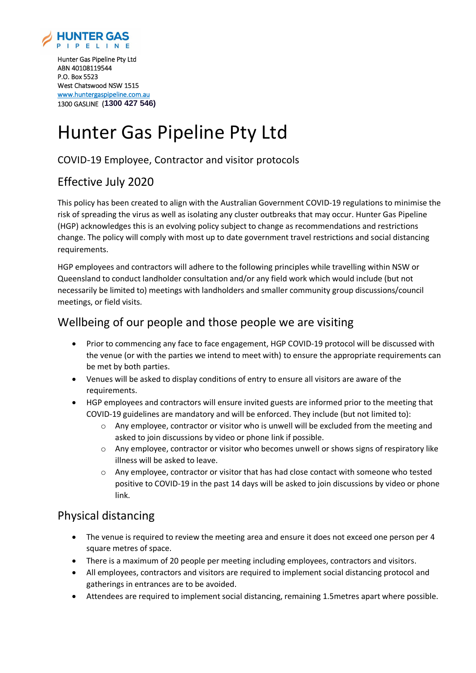

Hunter Gas Pipeline Pty Ltd ABN 40108119544 P.O. Box 5523 West Chatswood NSW 1515 [www.huntergaspipeline.com.au](http://www.huntergaspipeline.com.au/)  1300 GASLINE (**1300 427 546)**

# Hunter Gas Pipeline Pty Ltd

#### COVID-19 Employee, Contractor and visitor protocols

# Effective July 2020

This policy has been created to align with the Australian Government COVID-19 regulations to minimise the risk of spreading the virus as well as isolating any cluster outbreaks that may occur. Hunter Gas Pipeline (HGP) acknowledges this is an evolving policy subject to change as recommendations and restrictions change. The policy will comply with most up to date government travel restrictions and social distancing requirements.

HGP employees and contractors will adhere to the following principles while travelling within NSW or Queensland to conduct landholder consultation and/or any field work which would include (but not necessarily be limited to) meetings with landholders and smaller community group discussions/council meetings, or field visits.

#### Wellbeing of our people and those people we are visiting

- Prior to commencing any face to face engagement, HGP COVID-19 protocol will be discussed with the venue (or with the parties we intend to meet with) to ensure the appropriate requirements can be met by both parties.
- Venues will be asked to display conditions of entry to ensure all visitors are aware of the requirements.
- HGP employees and contractors will ensure invited guests are informed prior to the meeting that COVID-19 guidelines are mandatory and will be enforced. They include (but not limited to):
	- $\circ$  Any employee, contractor or visitor who is unwell will be excluded from the meeting and asked to join discussions by video or phone link if possible.
	- o Any employee, contractor or visitor who becomes unwell or shows signs of respiratory like illness will be asked to leave.
	- o Any employee, contractor or visitor that has had close contact with someone who tested positive to COVID-19 in the past 14 days will be asked to join discussions by video or phone link.

## Physical distancing

- The venue is required to review the meeting area and ensure it does not exceed one person per 4 square metres of space.
- There is a maximum of 20 people per meeting including employees, contractors and visitors.
- All employees, contractors and visitors are required to implement social distancing protocol and gatherings in entrances are to be avoided.
- Attendees are required to implement social distancing, remaining 1.5metres apart where possible.